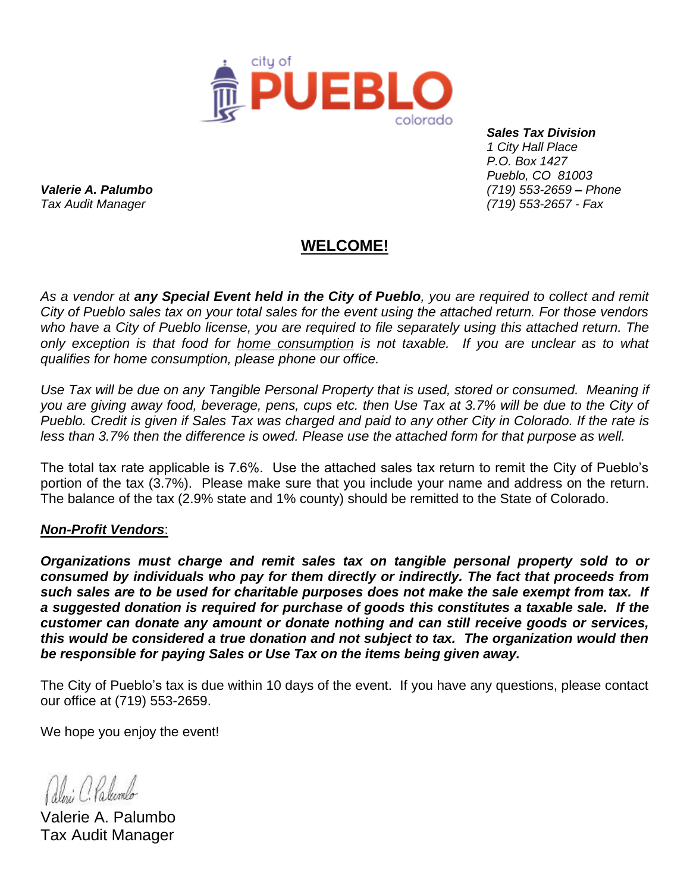

 *Sales Tax Division 1 City Hall Place P.O. Box 1427 Pueblo, CO 81003 Valerie A. Palumbo (719) 553-2659 – Phone Tax Audit Manager (719) 553-2657 - Fax* 

## **WELCOME!**

*As a vendor at any Special Event held in the City of Pueblo, you are required to collect and remit City of Pueblo sales tax on your total sales for the event using the attached return. For those vendors who have a City of Pueblo license, you are required to file separately using this attached return. The only exception is that food for home consumption is not taxable. If you are unclear as to what qualifies for home consumption, please phone our office.* 

*Use Tax will be due on any Tangible Personal Property that is used, stored or consumed. Meaning if you are giving away food, beverage, pens, cups etc. then Use Tax at 3.7% will be due to the City of Pueblo. Credit is given if Sales Tax was charged and paid to any other City in Colorado. If the rate is less than 3.7% then the difference is owed. Please use the attached form for that purpose as well.*

The total tax rate applicable is 7.6%. Use the attached sales tax return to remit the City of Pueblo's portion of the tax (3.7%). Please make sure that you include your name and address on the return. The balance of the tax (2.9% state and 1% county) should be remitted to the State of Colorado.

## *Non-Profit Vendors*:

*Organizations must charge and remit sales tax on tangible personal property sold to or consumed by individuals who pay for them directly or indirectly. The fact that proceeds from such sales are to be used for charitable purposes does not make the sale exempt from tax. If a suggested donation is required for purchase of goods this constitutes a taxable sale. If the customer can donate any amount or donate nothing and can still receive goods or services, this would be considered a true donation and not subject to tax. The organization would then be responsible for paying Sales or Use Tax on the items being given away.*

The City of Pueblo's tax is due within 10 days of the event. If you have any questions, please contact our office at (719) 553-2659.

We hope you enjoy the event!

Alni C. Palembo

Valerie A. Palumbo Tax Audit Manager